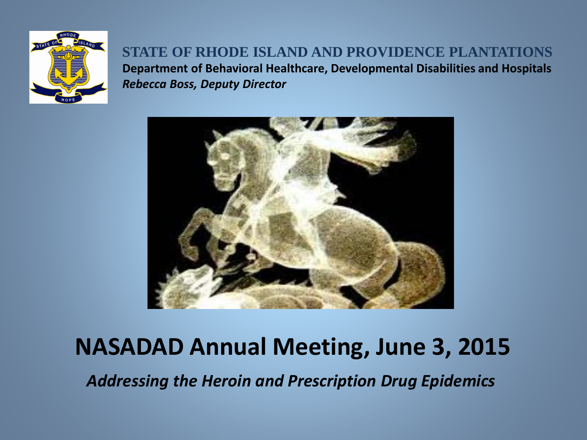

### **STATE OF RHODE ISLAND AND PROVIDENCE PLANTATIONS Department of Behavioral Healthcare, Developmental Disabilities and Hospitals** *Rebecca Boss, Deputy Director*



# **NASADAD Annual Meeting, June 3, 2015**

*Addressing the Heroin and Prescription Drug Epidemics*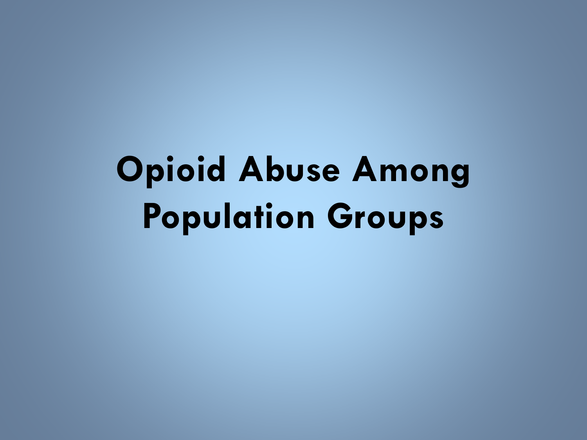# **Opioid Abuse Among Population Groups**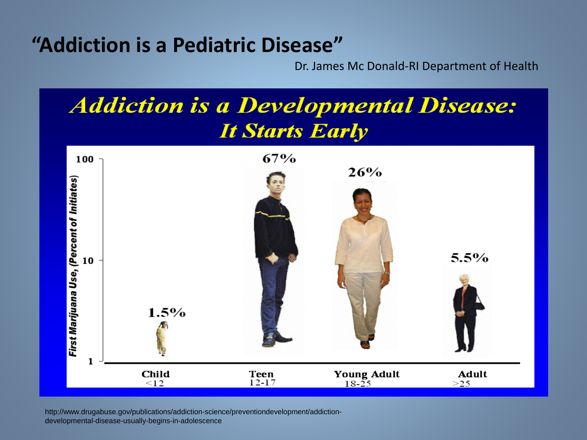### **"Addiction is a Pediatric Disease"**

Dr. James Mc Donald-RI Department of Health



http://www.drugabuse.gov/publications/addiction-science/preventiondevelopment/addictiondevelopmental-disease-usually-begins-in-adolescence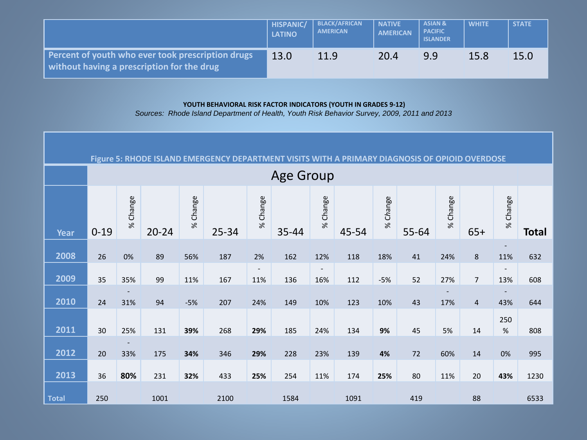|                                                                                                 | <b>HISPANIC/</b><br><b>LATINO</b> | <b>BLACK/AFRICAN</b><br><b>AMERICAN</b> | <b>NATIVE</b><br><b>AMERICAN</b> | <b>ASIAN &amp;</b><br><b>PACIFIC</b><br><b>ISLANDER</b> | <b>WHITE</b> | <b>STATE</b> |
|-------------------------------------------------------------------------------------------------|-----------------------------------|-----------------------------------------|----------------------------------|---------------------------------------------------------|--------------|--------------|
| Percent of youth who ever took prescription drugs<br>without having a prescription for the drug | 13.0                              | 11.9                                    | 20.4                             | 9.9                                                     | 15.8         | 15.0         |

#### **YOUTH BEHAVIORAL RISK FACTOR INDICATORS (YOUTH IN GRADES 9-12)**

*Sources: Rhode Island Department of Health, Youth Risk Behavior Survey, 2009, 2011 and 2013*

| Figure 5: RHODE ISLAND EMERGENCY DEPARTMENT VISITS WITH<br>A PRIMARY DIAGNOSIS OF OPIOID OVERDOSE |          |          |           |          |       |                          |                  |                          |       |          |       |          |                |             |              |
|---------------------------------------------------------------------------------------------------|----------|----------|-----------|----------|-------|--------------------------|------------------|--------------------------|-------|----------|-------|----------|----------------|-------------|--------------|
|                                                                                                   |          |          |           |          |       |                          | <b>Age Group</b> |                          |       |          |       |          |                |             |              |
| <b>Year</b>                                                                                       | $0 - 19$ | % Change | $20 - 24$ | % Change | 25-34 | % Change                 | 35-44            | % Change                 | 45-54 | % Change | 55-64 | % Change | $65+$          | % Change    | <b>Total</b> |
| 2008                                                                                              | 26       | 0%       | 89        | 56%      | 187   | 2%                       | 162              | 12%                      | 118   | 18%      | 41    | 24%      | 8              | 11%         | 632          |
|                                                                                                   |          |          |           |          |       | $\overline{\phantom{a}}$ |                  | $\overline{\phantom{a}}$ |       |          |       |          |                |             |              |
| 2009                                                                                              | 35       | 35%      | 99        | 11%      | 167   | 11%                      | 136              | 16%                      | 112   | $-5%$    | 52    | 27%      | $\overline{7}$ | 13%         | 608          |
|                                                                                                   |          |          |           |          |       |                          |                  |                          |       |          |       |          |                |             |              |
| 2010                                                                                              | 24       | 31%      | 94        | $-5%$    | 207   | 24%                      | 149              | 10%                      | 123   | 10%      | 43    | 17%      | $\overline{4}$ | 43%         | 644          |
| 2011                                                                                              | 30       | 25%      | 131       | 39%      | 268   | 29%                      | 185              | 24%                      | 134   | $9%$     | 45    | 5%       | 14             | 250<br>$\%$ | 808          |
| 2012                                                                                              | 20       | 33%      | 175       | 34%      | 346   | 29%                      | 228              | 23%                      | 139   | 4%       | 72    | 60%      | 14             | $0\%$       | 995          |
| 2013                                                                                              | 36       | 80%      | 231       | 32%      | 433   | 25%                      | 254              | 11%                      | 174   | 25%      | 80    | 11%      | 20             | 43%         | 1230         |
| <b>Total</b>                                                                                      | 250      |          | 1001      |          | 2100  |                          | 1584             |                          | 1091  |          | 419   |          | 88             |             | 6533         |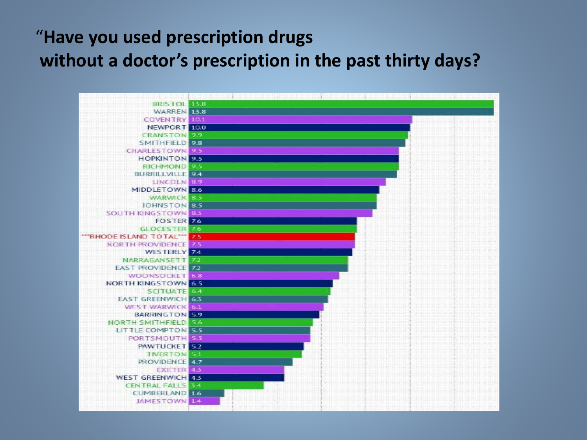### "**Have you used prescription drugs without a doctor's prescription in the past thirty days?**

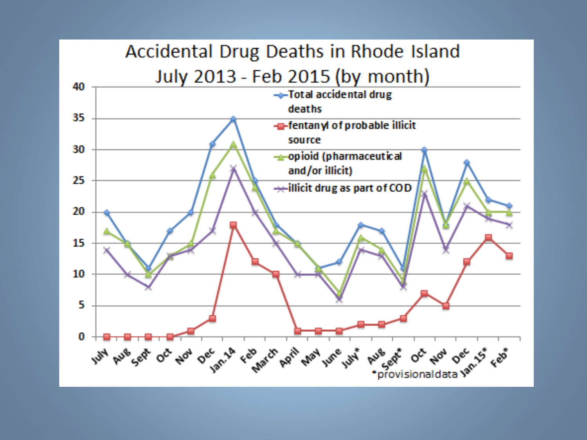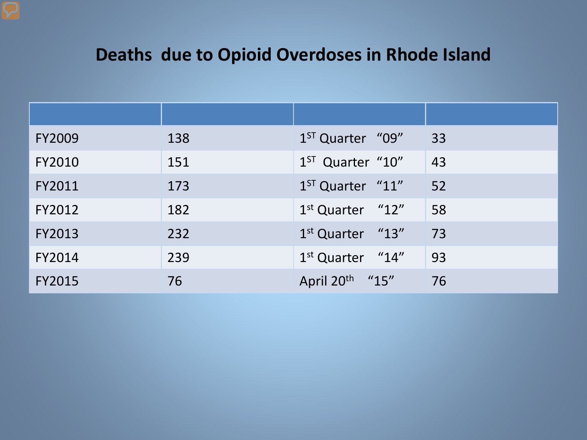### **Deaths due to Opioid Overdoses in Rhode Island**

| <b>FY2009</b> | 138 | 1 <sup>ST</sup> Quarter "09" | 33 |
|---------------|-----|------------------------------|----|
| FY2010        | 151 | $1ST$ Quarter "10"           | 43 |
| FY2011        | 173 | $1ST$ Quarter " $11$ "       | 52 |
| FY2012        | 182 | $1st$ Quarter " $12$ "       | 58 |
| FY2013        | 232 | $1st$ Quarter "13"           | 73 |
| FY2014        | 239 | $1st$ Quarter "14"           | 93 |
| <b>FY2015</b> | 76  | April 20 <sup>th</sup> "15"  | 76 |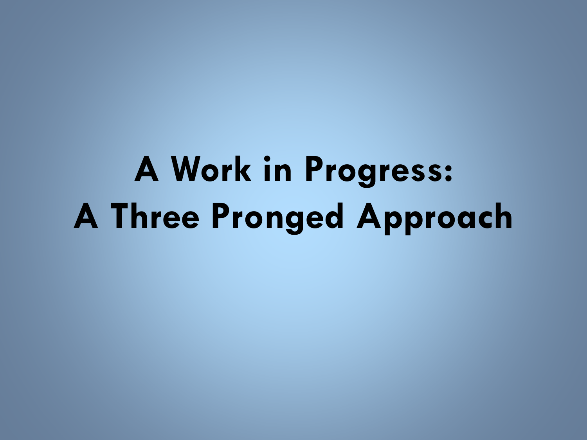**A Work in Progress: A Three Pronged Approach**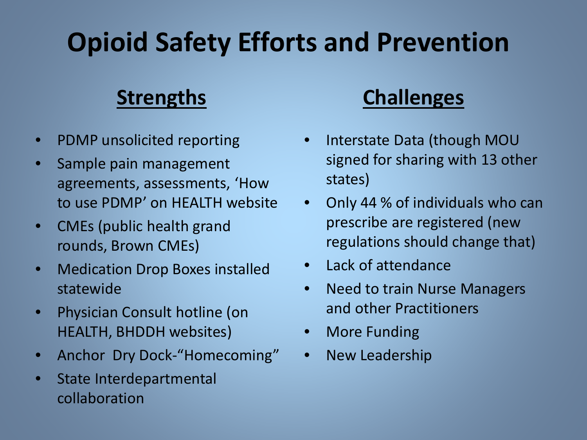## **Opioid Safety Efforts and Prevention**

### **Strengths**

- PDMP unsolicited reporting
- Sample pain management agreements, assessments, 'How to use PDMP' on HEALTH website
- CMEs (public health grand rounds, Brown CMEs)
- Medication Drop Boxes installed statewide
- Physician Consult hotline (on HEALTH, BHDDH websites)
- Anchor Dry Dock-"Homecoming"
- State Interdepartmental collaboration

### **Challenges**

- Interstate Data (though MOU signed for sharing with 13 other states)
- Only 44 % of individuals who can prescribe are registered (new regulations should change that)
- Lack of attendance
- Need to train Nurse Managers and other Practitioners
- **More Funding**
- New Leadership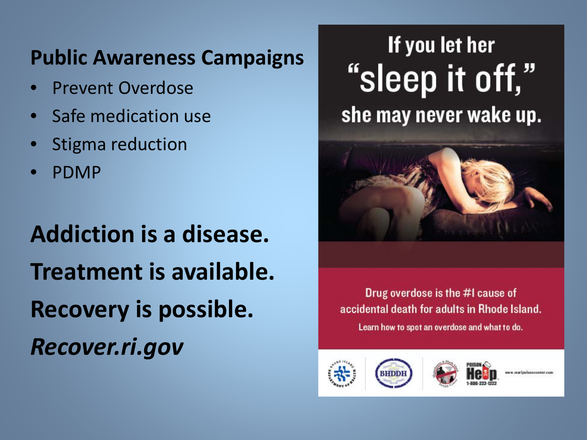### **Public Awareness Campaigns**

- Prevent Overdose
- Safe medication use
- Stigma reduction
- PDMP

**Addiction is a disease. Treatment is available. Recovery is possible.** *Recover.ri.gov*

## If you let her "sleep it off," she may never wake up.



Drug overdose is the #I cause of accidental death for adults in Rhode Island. Learn how to spot an overdose and what to do.





ww.martpolsoncenter.c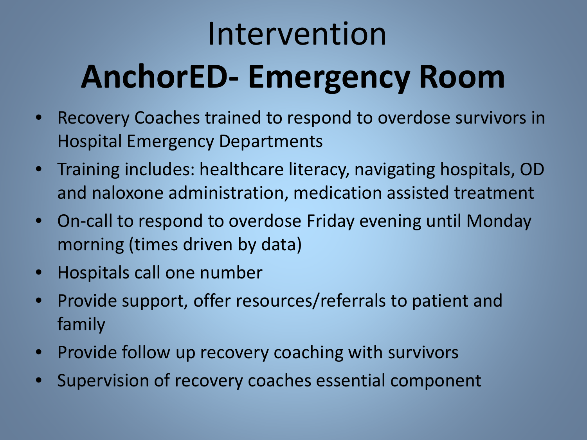# Intervention **AnchorED- Emergency Room**

- Recovery Coaches trained to respond to overdose survivors in Hospital Emergency Departments
- Training includes: healthcare literacy, navigating hospitals, OD and naloxone administration, medication assisted treatment
- On-call to respond to overdose Friday evening until Monday morning (times driven by data)
- Hospitals call one number
- Provide support, offer resources/referrals to patient and family
- Provide follow up recovery coaching with survivors
- Supervision of recovery coaches essential component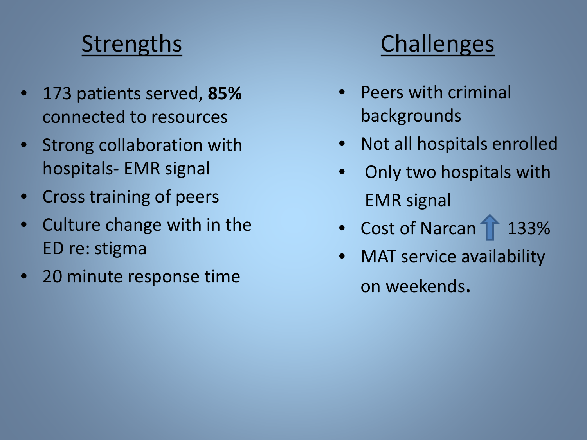## **Strengths**

- 173 patients served, **85%** connected to resources
- Strong collaboration with hospitals- EMR signal
- Cross training of peers
- Culture change with in the ED re: stigma
- 20 minute response time

## **Challenges**

- Peers with criminal backgrounds
- Not all hospitals enrolled
- Only two hospitals with EMR signal
- Cost of Narcan 1 133%
- MAT service availability on weekends.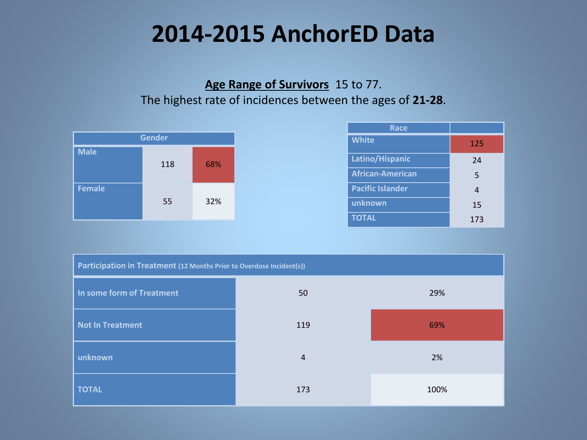## **2014-2015 AnchorED Data**

#### **Age Range of Survivors** 15 to 77. The highest rate of incidences between the ages of **21-28**.



| Race                    |     |
|-------------------------|-----|
| <b>White</b>            | 125 |
| Latino/Hispanic         | 24  |
| <b>African-American</b> | 5   |
| <b>Pacific Islander</b> | 4   |
| unknown                 | 15  |
| <b>TOTAL</b>            | 173 |

| Participation in Treatment (12 Months Prior to Overdose Incident(s)) |                |      |  |  |  |  |
|----------------------------------------------------------------------|----------------|------|--|--|--|--|
| In some form of Treatment                                            | 50             | 29%  |  |  |  |  |
| <b>Not In Treatment</b>                                              | 119            | 69%  |  |  |  |  |
| unknown                                                              | $\overline{4}$ | 2%   |  |  |  |  |
| <b>TOTAL</b>                                                         | 173            | 100% |  |  |  |  |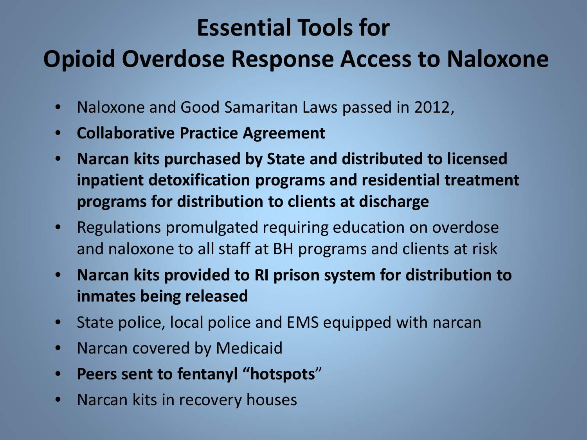## **Essential Tools for**

## **Opioid Overdose Response Access to Naloxone**

- Naloxone and Good Samaritan Laws passed in 2012,
- **Collaborative Practice Agreement**
- **Narcan kits purchased by State and distributed to licensed inpatient detoxification programs and residential treatment programs for distribution to clients at discharge**
- Regulations promulgated requiring education on overdose and naloxone to all staff at BH programs and clients at risk
- **Narcan kits provided to RI prison system for distribution to inmates being released**
- State police, local police and EMS equipped with narcan
- Narcan covered by Medicaid
- **Peers sent to fentanyl "hotspots**"
- Narcan kits in recovery houses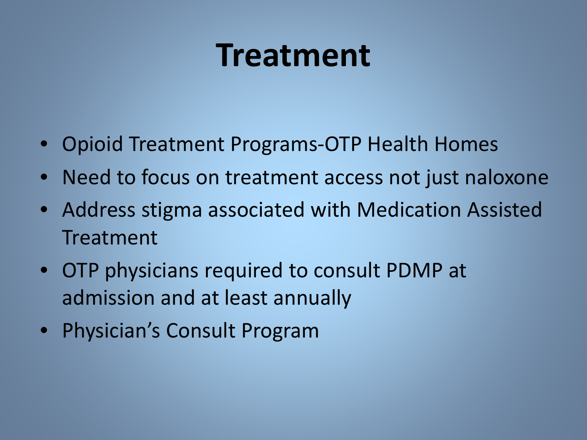## **Treatment**

- Opioid Treatment Programs-OTP Health Homes
- Need to focus on treatment access not just naloxone
- Address stigma associated with Medication Assisted Treatment
- OTP physicians required to consult PDMP at admission and at least annually
- Physician's Consult Program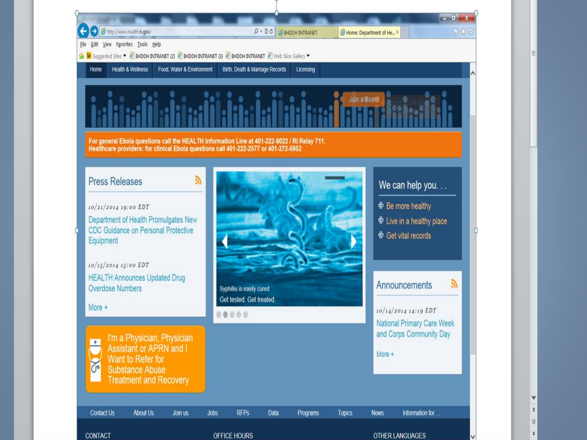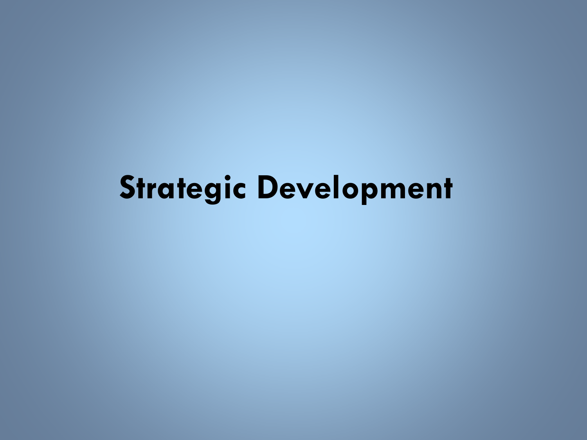# **Strategic Development**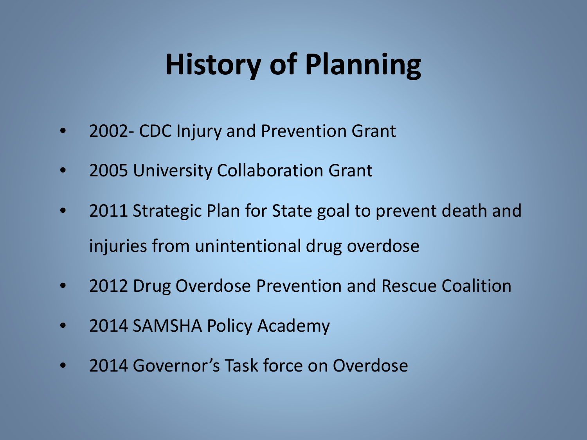# **History of Planning**

- 2002- CDC Injury and Prevention Grant
- 2005 University Collaboration Grant
- 2011 Strategic Plan for State goal to prevent death and injuries from unintentional drug overdose
- 2012 Drug Overdose Prevention and Rescue Coalition
- 2014 SAMSHA Policy Academy
- 2014 Governor's Task force on Overdose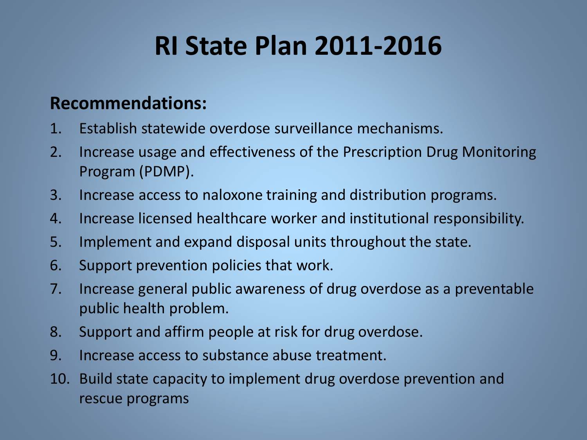## **RI State Plan 2011-2016**

### **Recommendations:**

- 1. Establish statewide overdose surveillance mechanisms.
- 2. Increase usage and effectiveness of the Prescription Drug Monitoring Program (PDMP).
- 3. Increase access to naloxone training and distribution programs.
- 4. Increase licensed healthcare worker and institutional responsibility.
- 5. Implement and expand disposal units throughout the state.
- 6. Support prevention policies that work.
- 7. Increase general public awareness of drug overdose as a preventable public health problem.
- 8. Support and affirm people at risk for drug overdose.
- 9. Increase access to substance abuse treatment.
- 10. Build state capacity to implement drug overdose prevention and rescue programs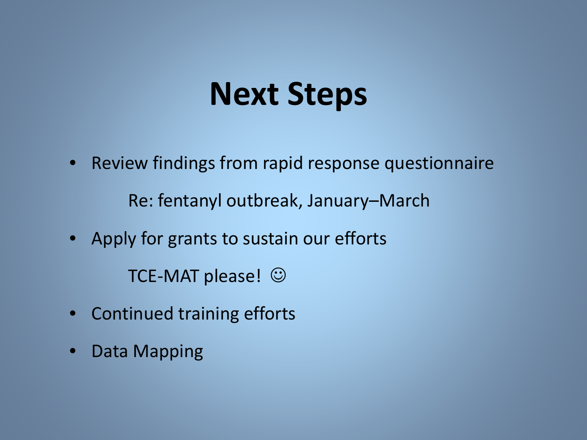# **Next Steps**

• Review findings from rapid response questionnaire

Re: fentanyl outbreak, January–March

• Apply for grants to sustain our efforts

TCE-MAT please!  $\odot$ 

- Continued training efforts
- Data Mapping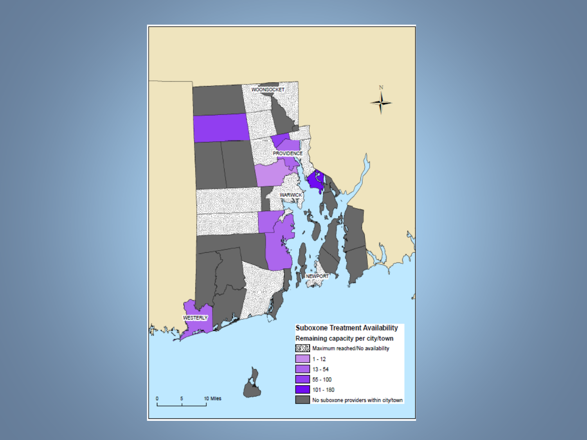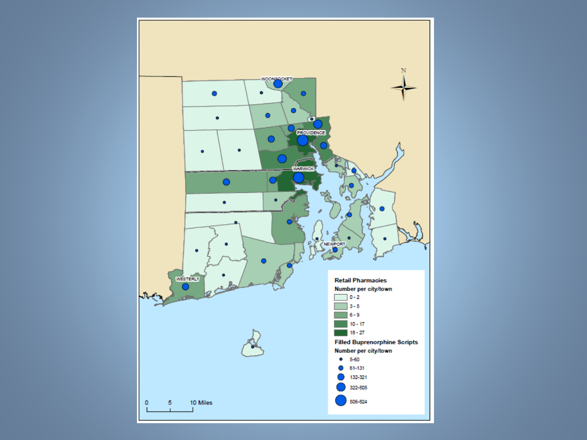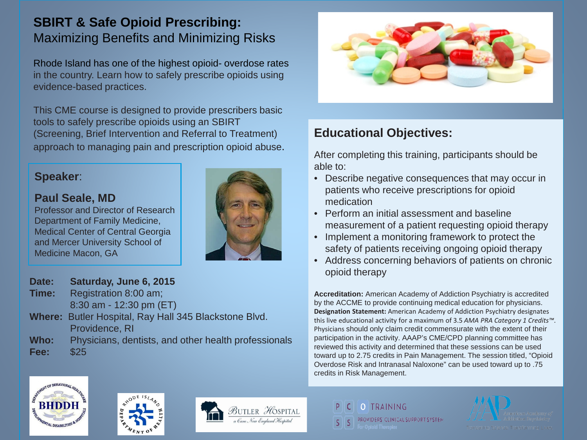#### **SBIRT & Safe Opioid Prescribing:** Maximizing Benefits and Minimizing Risks

Rhode Island has one of the highest opioid- overdose rates in the country. Learn how to safely prescribe opioids using evidence-based practices.

This CME course is designed to provide prescribers basic tools to safely prescribe opioids using an SBIRT (Screening, Brief Intervention and Referral to Treatment) approach to managing pain and prescription opioid abuse.

#### **Speaker**:

#### **Paul Seale, MD**

Professor and Director of Research Department of Family Medicine, Medical Center of Central Georgia and Mercer University School of Medicine Macon, GA



#### **Date: Saturday, June 6, 2015**

- **Time:** Registration 8:00 am; 8:30 am - 12:30 pm (ET)
- **Where:** Butler Hospital, Ray Hall 345 Blackstone Blvd. Providence, RI
- **Who:** Physicians, dentists, and other health professionals **Fee:** \$25



#### **Educational Objectives:**

After completing this training, participants should be able to:

- Describe negative consequences that may occur in patients who receive prescriptions for opioid medication
- Perform an initial assessment and baseline measurement of a patient requesting opioid therapy
- Implement a monitoring framework to protect the safety of patients receiving ongoing opioid therapy
- Address concerning behaviors of patients on chronic opioid therapy

**Accreditation:** American Academy of Addiction Psychiatry is accredited by the ACCME to provide continuing medical education for physicians. **Designation Statement:** American Academy of Addiction Psychiatry designates this live educational activity for a maximum of 3.5 *AMA PRA Category 1 Credits™*. Physicians should only claim credit commensurate with the extent of their participation in the activity. AAAP's CME/CPD planning committee has reviewed this activity and determined that these sessions can be used toward up to 2.75 credits in Pain Management. The session titled, "Opioid Overdose Risk and Intranasal Naloxone" can be used toward up to .75 credits in Risk Management.







O TRAINING PROVIDERS' CLINICAL SUPPORT SYSTEM